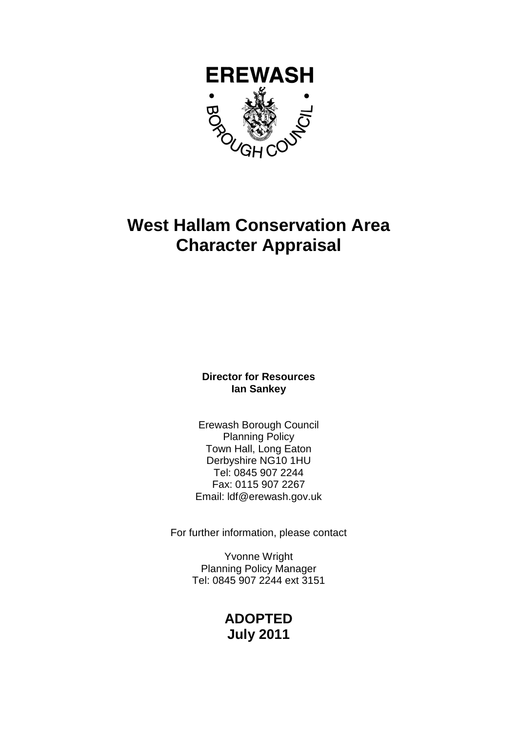

# **West Hallam Conservation Area Character Appraisal**

**Director for Resources Ian Sankey** 

Erewash Borough Council Planning Policy Town Hall, Long Eaton Derbyshire NG10 1HU Tel: 0845 907 2244 Fax: 0115 907 2267 Email: ldf@erewash.gov.uk

For further information, please contact

Yvonne Wright Planning Policy Manager Tel: 0845 907 2244 ext 3151

# **ADOPTED July 2011**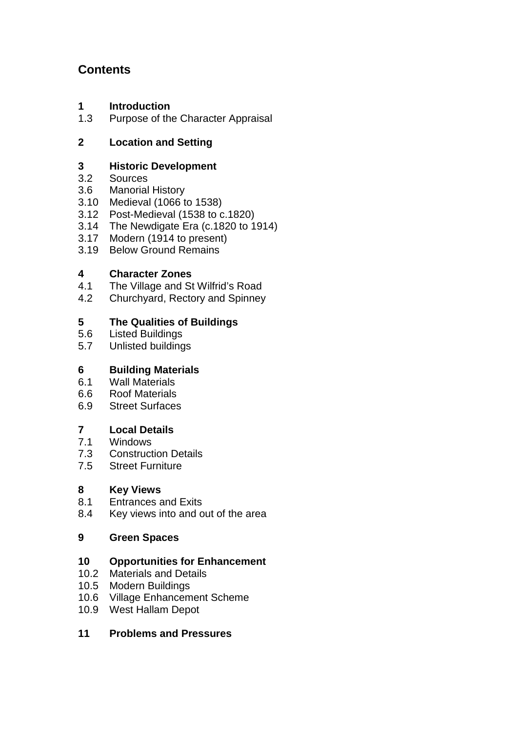# **Contents**

- **1 Introduction**
- 1.3 Purpose of the Character Appraisal

# **2 Location and Setting**

# **3 Historic Development**<br> **32 Sources**

- 3.2 Sources
- 3.6 Manorial History
- 3.10 Medieval (1066 to 1538)
- 3.12 Post-Medieval (1538 to  $c$ .1820)
- 3.14 The Newdigate Era (c.1820 to 1914)
- 3.17 Modern (1914 to present)
- 3.19 Below Ground Remains

# **4 Character Zones**

- 4.1 The Village and St Wilfrid's Road
- 4.2 Churchyard, Rectory and Spinney

# **5 The Qualities of Buildings**

- 5.6 Listed Buildings
- 5.7 Unlisted buildings

# **6 Building Materials**

- 6.1 Wall Materials
- 6.6 Roof Materials
- 6.9 Street Surfaces

# **7 Local Details**

- 7.1 Windows
- 7.3 Construction Details
- 7.5 Street Furniture

# **8 Key Views**

- 8.1 Entrances and Exits
- 8.4 Key views into and out of the area

# **9 Green Spaces**

# **10 Opportunities for Enhancement**

- 10.2 Materials and Details
- 10.5 Modern Buildings
- 10.6 Village Enhancement Scheme
- 10.9 West Hallam Depot

# **11 Problems and Pressures**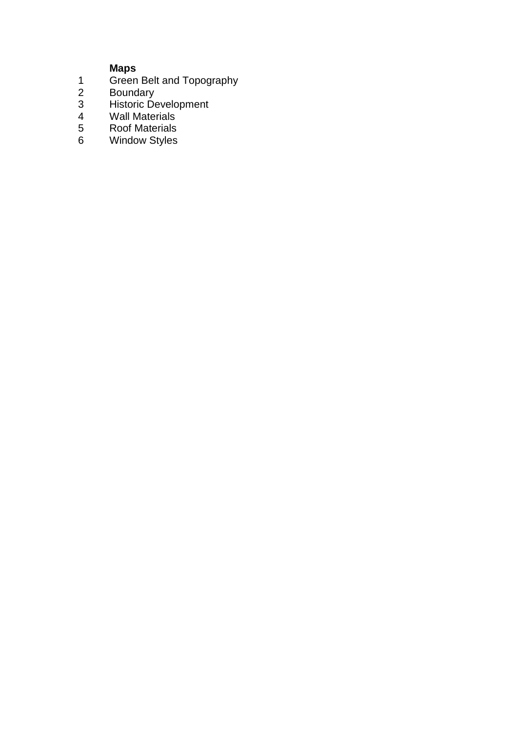### **Maps**

- 1 Green Belt and Topography
- 2 Boundary
- 3 Historic Development
- 4 Wall Materials
- 5 Roof Materials
- 6 Window Styles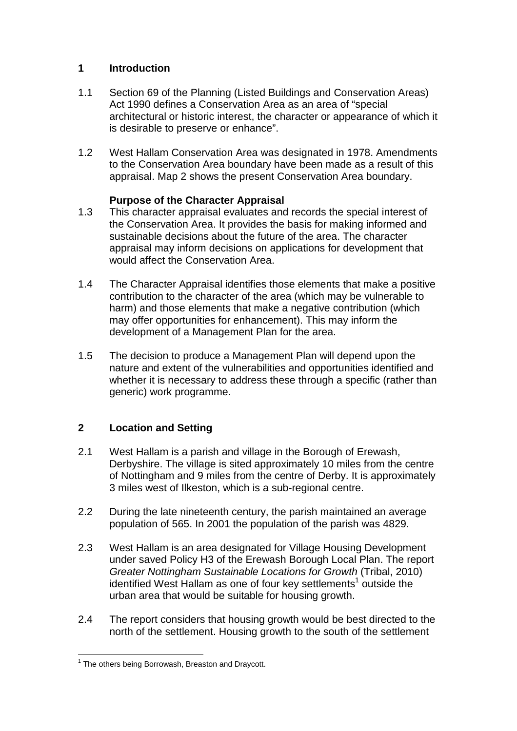## **1 Introduction**

- 1.1 Section 69 of the Planning (Listed Buildings and Conservation Areas) Act 1990 defines a Conservation Area as an area of "special architectural or historic interest, the character or appearance of which it is desirable to preserve or enhance".
- 1.2 West Hallam Conservation Area was designated in 1978. Amendments to the Conservation Area boundary have been made as a result of this appraisal. Map 2 shows the present Conservation Area boundary.

# **Purpose of the Character Appraisal**

- 1.3 This character appraisal evaluates and records the special interest of the Conservation Area. It provides the basis for making informed and sustainable decisions about the future of the area. The character appraisal may inform decisions on applications for development that would affect the Conservation Area.
- 1.4 The Character Appraisal identifies those elements that make a positive contribution to the character of the area (which may be vulnerable to harm) and those elements that make a negative contribution (which may offer opportunities for enhancement). This may inform the development of a Management Plan for the area.
- 1.5 The decision to produce a Management Plan will depend upon the nature and extent of the vulnerabilities and opportunities identified and whether it is necessary to address these through a specific (rather than generic) work programme.

# **2 Location and Setting**

- 2.1 West Hallam is a parish and village in the Borough of Erewash, Derbyshire. The village is sited approximately 10 miles from the centre of Nottingham and 9 miles from the centre of Derby. It is approximately 3 miles west of Ilkeston, which is a sub-regional centre.
- 2.2 During the late nineteenth century, the parish maintained an average population of 565. In 2001 the population of the parish was 4829.
- 2.3 West Hallam is an area designated for Village Housing Development under saved Policy H3 of the Erewash Borough Local Plan. The report Greater Nottingham Sustainable Locations for Growth (Tribal, 2010) identified West Hallam as one of four key settlements<sup>1</sup> outside the urban area that would be suitable for housing growth.
- 2.4 The report considers that housing growth would be best directed to the north of the settlement. Housing growth to the south of the settlement

**The others being Borrowash, Breaston and Draycott.**<br><sup>1</sup> The others being Borrowash, Breaston and Draycott.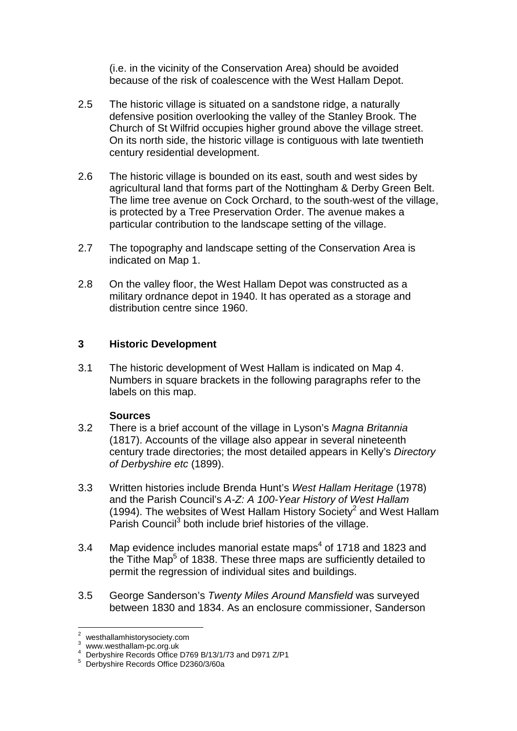(i.e. in the vicinity of the Conservation Area) should be avoided because of the risk of coalescence with the West Hallam Depot.

- 2.5 The historic village is situated on a sandstone ridge, a naturally defensive position overlooking the valley of the Stanley Brook. The Church of St Wilfrid occupies higher ground above the village street. On its north side, the historic village is contiguous with late twentieth century residential development.
- 2.6 The historic village is bounded on its east, south and west sides by agricultural land that forms part of the Nottingham & Derby Green Belt. The lime tree avenue on Cock Orchard, to the south-west of the village, is protected by a Tree Preservation Order. The avenue makes a particular contribution to the landscape setting of the village.
- 2.7 The topography and landscape setting of the Conservation Area is indicated on Map 1.
- 2.8 On the valley floor, the West Hallam Depot was constructed as a military ordnance depot in 1940. It has operated as a storage and distribution centre since 1960.

#### **3 Historic Development**

3.1 The historic development of West Hallam is indicated on Map 4. Numbers in square brackets in the following paragraphs refer to the labels on this map.

#### **Sources**

- 3.2 There is a brief account of the village in Lyson's Magna Britannia (1817). Accounts of the village also appear in several nineteenth century trade directories; the most detailed appears in Kelly's Directory of Derbyshire etc (1899).
- 3.3 Written histories include Brenda Hunt's West Hallam Heritage (1978) and the Parish Council's A-Z: A 100-Year History of West Hallam (1994). The websites of West Hallam History Society<sup>2</sup> and West Hallam Parish Council<sup>3</sup> both include brief histories of the village.
- 3.4 Map evidence includes manorial estate maps<sup>4</sup> of 1718 and 1823 and the Tithe Map<sup>5</sup> of 1838. These three maps are sufficiently detailed to permit the regression of individual sites and buildings.
- 3.5 George Sanderson's Twenty Miles Around Mansfield was surveyed between 1830 and 1834. As an enclosure commissioner, Sanderson

 2 westhallamhistorysociety.com

<sup>3</sup> www.westhallam-pc.org.uk

<sup>4</sup> Derbyshire Records Office D769 B/13/1/73 and D971 Z/P1

<sup>5</sup> Derbyshire Records Office D2360/3/60a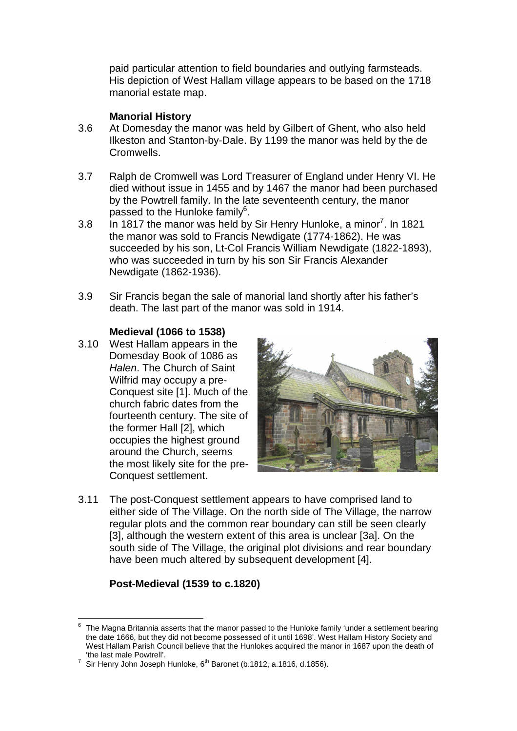paid particular attention to field boundaries and outlying farmsteads. His depiction of West Hallam village appears to be based on the 1718 manorial estate map.

#### **Manorial History**

- 3.6 At Domesday the manor was held by Gilbert of Ghent, who also held Ilkeston and Stanton-by-Dale. By 1199 the manor was held by the de Cromwells.
- 3.7 Ralph de Cromwell was Lord Treasurer of England under Henry VI. He died without issue in 1455 and by 1467 the manor had been purchased by the Powtrell family. In the late seventeenth century, the manor passed to the Hunloke family<sup>6</sup>.
- 3.8 In 1817 the manor was held by Sir Henry Hunloke, a minor<sup>7</sup>. In 1821 the manor was sold to Francis Newdigate (1774-1862). He was succeeded by his son, Lt-Col Francis William Newdigate (1822-1893), who was succeeded in turn by his son Sir Francis Alexander Newdigate (1862-1936).
- 3.9 Sir Francis began the sale of manorial land shortly after his father's death. The last part of the manor was sold in 1914.

#### **Medieval (1066 to 1538)**

3.10 West Hallam appears in the Domesday Book of 1086 as Halen. The Church of Saint Wilfrid may occupy a pre-Conquest site [1]. Much of the church fabric dates from the fourteenth century. The site of the former Hall [2], which occupies the highest ground around the Church, seems the most likely site for the pre-Conquest settlement.



3.11 The post-Conquest settlement appears to have comprised land to either side of The Village. On the north side of The Village, the narrow regular plots and the common rear boundary can still be seen clearly [3], although the western extent of this area is unclear [3a]. On the south side of The Village, the original plot divisions and rear boundary have been much altered by subsequent development [4].

# **Post-Medieval (1539 to c.1820)**

 $\overline{a}$  $6$  The Magna Britannia asserts that the manor passed to the Hunloke family 'under a settlement bearing the date 1666, but they did not become possessed of it until 1698'. West Hallam History Society and West Hallam Parish Council believe that the Hunlokes acquired the manor in 1687 upon the death of 'the last male Powtrell'.

<sup>7</sup> Sir Henry John Joseph Hunloke, 6<sup>th</sup> Baronet (b.1812, a.1816, d.1856).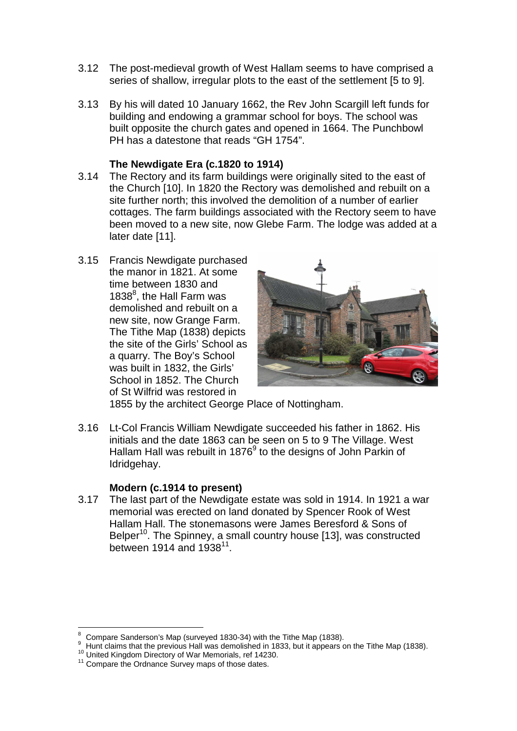- 3.12 The post-medieval growth of West Hallam seems to have comprised a series of shallow, irregular plots to the east of the settlement [5 to 9].
- 3.13 By his will dated 10 January 1662, the Rev John Scargill left funds for building and endowing a grammar school for boys. The school was built opposite the church gates and opened in 1664. The Punchbowl PH has a datestone that reads "GH 1754".

#### **The Newdigate Era (c.1820 to 1914)**

- 3.14 The Rectory and its farm buildings were originally sited to the east of the Church [10]. In 1820 the Rectory was demolished and rebuilt on a site further north; this involved the demolition of a number of earlier cottages. The farm buildings associated with the Rectory seem to have been moved to a new site, now Glebe Farm. The lodge was added at a later date [11].
- 3.15 Francis Newdigate purchased the manor in 1821. At some time between 1830 and 1838 $<sup>8</sup>$ , the Hall Farm was</sup> demolished and rebuilt on a new site, now Grange Farm. The Tithe Map (1838) depicts the site of the Girls' School as a quarry. The Boy's School was built in 1832, the Girls' School in 1852. The Church of St Wilfrid was restored in



1855 by the architect George Place of Nottingham.

3.16 Lt-Col Francis William Newdigate succeeded his father in 1862. His initials and the date 1863 can be seen on 5 to 9 The Village. West Hallam Hall was rebuilt in 1876 $9$  to the designs of John Parkin of Idridgehay.

#### **Modern (c.1914 to present)**

3.17 The last part of the Newdigate estate was sold in 1914. In 1921 a war memorial was erected on land donated by Spencer Rook of West Hallam Hall. The stonemasons were James Beresford & Sons of Belper<sup>10</sup>. The Spinney, a small country house [13], was constructed between 1914 and 1938 $^{11}$ .

 $\overline{a}$ 8 Compare Sanderson's Map (surveyed 1830-34) with the Tithe Map (1838).

<sup>9</sup> Hunt claims that the previous Hall was demolished in 1833, but it appears on the Tithe Map (1838).

<sup>&</sup>lt;sup>10</sup> United Kingdom Directory of War Memorials, ref 14230.

<sup>&</sup>lt;sup>11</sup> Compare the Ordnance Survey maps of those dates.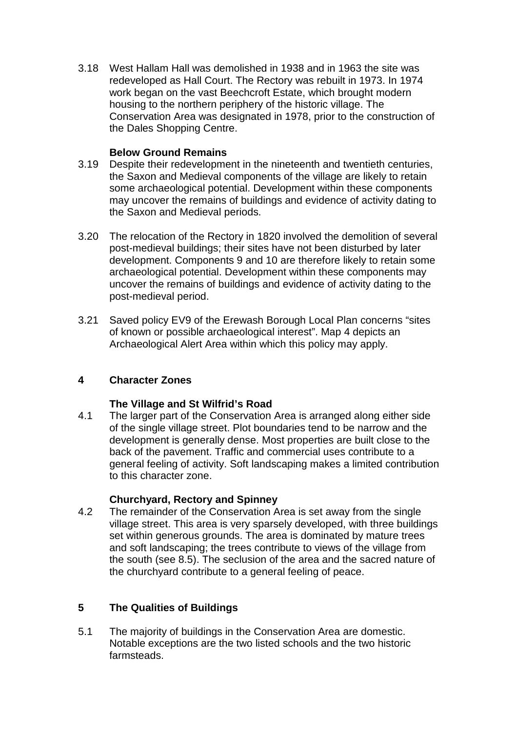3.18 West Hallam Hall was demolished in 1938 and in 1963 the site was redeveloped as Hall Court. The Rectory was rebuilt in 1973. In 1974 work began on the vast Beechcroft Estate, which brought modern housing to the northern periphery of the historic village. The Conservation Area was designated in 1978, prior to the construction of the Dales Shopping Centre.

#### **Below Ground Remains**

- 3.19 Despite their redevelopment in the nineteenth and twentieth centuries, the Saxon and Medieval components of the village are likely to retain some archaeological potential. Development within these components may uncover the remains of buildings and evidence of activity dating to the Saxon and Medieval periods.
- 3.20 The relocation of the Rectory in 1820 involved the demolition of several post-medieval buildings; their sites have not been disturbed by later development. Components 9 and 10 are therefore likely to retain some archaeological potential. Development within these components may uncover the remains of buildings and evidence of activity dating to the post-medieval period.
- 3.21 Saved policy EV9 of the Erewash Borough Local Plan concerns "sites of known or possible archaeological interest". Map 4 depicts an Archaeological Alert Area within which this policy may apply.

# **4 Character Zones**

# **The Village and St Wilfrid's Road**

4.1 The larger part of the Conservation Area is arranged along either side of the single village street. Plot boundaries tend to be narrow and the development is generally dense. Most properties are built close to the back of the pavement. Traffic and commercial uses contribute to a general feeling of activity. Soft landscaping makes a limited contribution to this character zone.

# **Churchyard, Rectory and Spinney**

4.2 The remainder of the Conservation Area is set away from the single village street. This area is very sparsely developed, with three buildings set within generous grounds. The area is dominated by mature trees and soft landscaping; the trees contribute to views of the village from the south (see 8.5). The seclusion of the area and the sacred nature of the churchyard contribute to a general feeling of peace.

# **5 The Qualities of Buildings**

5.1 The majority of buildings in the Conservation Area are domestic. Notable exceptions are the two listed schools and the two historic farmsteads.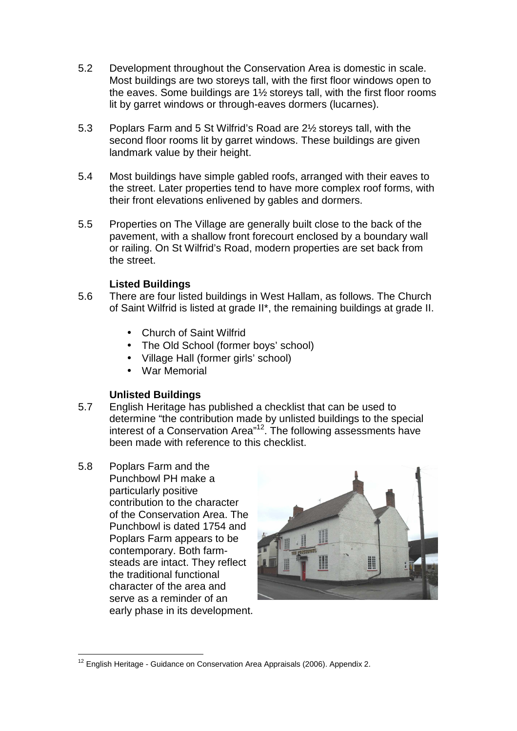- 5.2 Development throughout the Conservation Area is domestic in scale. Most buildings are two storeys tall, with the first floor windows open to the eaves. Some buildings are 1½ storeys tall, with the first floor rooms lit by garret windows or through-eaves dormers (lucarnes).
- 5.3 Poplars Farm and 5 St Wilfrid's Road are 2½ storeys tall, with the second floor rooms lit by garret windows. These buildings are given landmark value by their height.
- 5.4 Most buildings have simple gabled roofs, arranged with their eaves to the street. Later properties tend to have more complex roof forms, with their front elevations enlivened by gables and dormers.
- 5.5 Properties on The Village are generally built close to the back of the pavement, with a shallow front forecourt enclosed by a boundary wall or railing. On St Wilfrid's Road, modern properties are set back from the street.

## **Listed Buildings**

- 5.6 There are four listed buildings in West Hallam, as follows. The Church of Saint Wilfrid is listed at grade II\*, the remaining buildings at grade II.
	- Church of Saint Wilfrid
	- The Old School (former boys' school)
	- Village Hall (former girls' school)
	- War Memorial

#### **Unlisted Buildings**

- 5.7 English Heritage has published a checklist that can be used to determine "the contribution made by unlisted buildings to the special interest of a Conservation Area"<sup>12</sup>. The following assessments have been made with reference to this checklist.
- 5.8 Poplars Farm and the Punchbowl PH make a particularly positive contribution to the character of the Conservation Area. The Punchbowl is dated 1754 and Poplars Farm appears to be contemporary. Both farmsteads are intact. They reflect the traditional functional character of the area and serve as a reminder of an early phase in its development.



 $\overline{a}$  $12$  English Heritage - Guidance on Conservation Area Appraisals (2006). Appendix 2.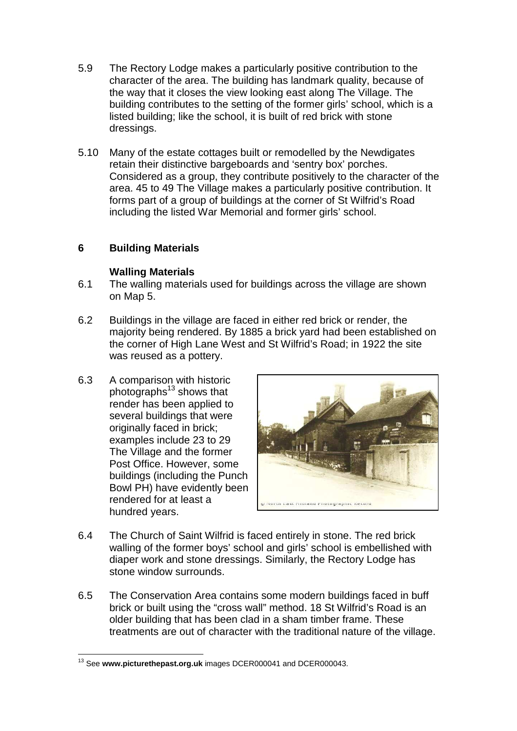- 5.9 The Rectory Lodge makes a particularly positive contribution to the character of the area. The building has landmark quality, because of the way that it closes the view looking east along The Village. The building contributes to the setting of the former girls' school, which is a listed building; like the school, it is built of red brick with stone dressings.
- 5.10 Many of the estate cottages built or remodelled by the Newdigates retain their distinctive bargeboards and 'sentry box' porches. Considered as a group, they contribute positively to the character of the area. 45 to 49 The Village makes a particularly positive contribution. It forms part of a group of buildings at the corner of St Wilfrid's Road including the listed War Memorial and former girls' school.

# **6 Building Materials**

#### **Walling Materials**

- 6.1 The walling materials used for buildings across the village are shown on Map 5.
- 6.2 Buildings in the village are faced in either red brick or render, the majority being rendered. By 1885 a brick yard had been established on the corner of High Lane West and St Wilfrid's Road; in 1922 the site was reused as a pottery.
- 6.3 A comparison with historic photographs $^{13}$  shows that render has been applied to several buildings that were originally faced in brick; examples include 23 to 29 The Village and the former Post Office. However, some buildings (including the Punch Bowl PH) have evidently been rendered for at least a hundred years.



- 6.4 The Church of Saint Wilfrid is faced entirely in stone. The red brick walling of the former boys' school and girls' school is embellished with diaper work and stone dressings. Similarly, the Rectory Lodge has stone window surrounds.
- 6.5 The Conservation Area contains some modern buildings faced in buff brick or built using the "cross wall" method. 18 St Wilfrid's Road is an older building that has been clad in a sham timber frame. These treatments are out of character with the traditional nature of the village.

 $\overline{a}$ <sup>13</sup> See **www.picturethepast.org.uk** images DCER000041 and DCER000043.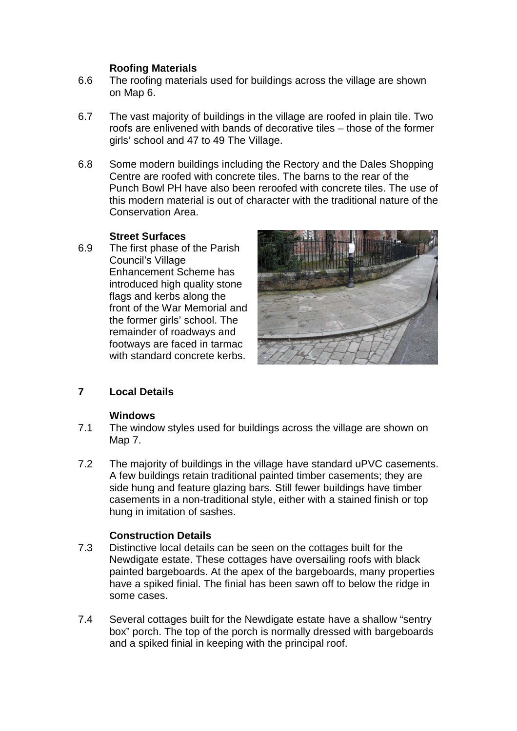## **Roofing Materials**

- 6.6 The roofing materials used for buildings across the village are shown on Map 6.
- 6.7 The vast majority of buildings in the village are roofed in plain tile. Two roofs are enlivened with bands of decorative tiles – those of the former girls' school and 47 to 49 The Village.
- 6.8 Some modern buildings including the Rectory and the Dales Shopping Centre are roofed with concrete tiles. The barns to the rear of the Punch Bowl PH have also been reroofed with concrete tiles. The use of this modern material is out of character with the traditional nature of the Conservation Area.

## **Street Surfaces**

6.9 The first phase of the Parish Council's Village Enhancement Scheme has introduced high quality stone flags and kerbs along the front of the War Memorial and the former girls' school. The remainder of roadways and footways are faced in tarmac with standard concrete kerbs.



# **7 Local Details**

#### **Windows**

- 7.1 The window styles used for buildings across the village are shown on Map 7.
- 7.2 The majority of buildings in the village have standard uPVC casements. A few buildings retain traditional painted timber casements; they are side hung and feature glazing bars. Still fewer buildings have timber casements in a non-traditional style, either with a stained finish or top hung in imitation of sashes.

# **Construction Details**

- 7.3 Distinctive local details can be seen on the cottages built for the Newdigate estate. These cottages have oversailing roofs with black painted bargeboards. At the apex of the bargeboards, many properties have a spiked finial. The finial has been sawn off to below the ridge in some cases.
- 7.4 Several cottages built for the Newdigate estate have a shallow "sentry box" porch. The top of the porch is normally dressed with bargeboards and a spiked finial in keeping with the principal roof.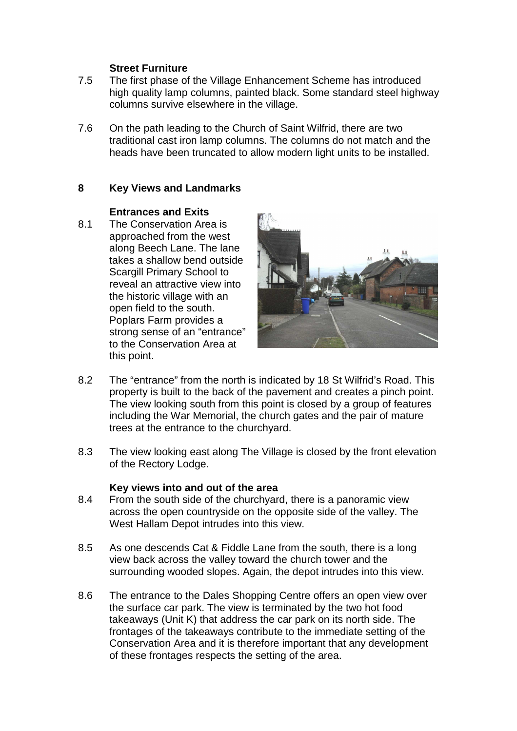#### **Street Furniture**

- 7.5 The first phase of the Village Enhancement Scheme has introduced high quality lamp columns, painted black. Some standard steel highway columns survive elsewhere in the village.
- 7.6 On the path leading to the Church of Saint Wilfrid, there are two traditional cast iron lamp columns. The columns do not match and the heads have been truncated to allow modern light units to be installed.

## **8 Key Views and Landmarks**

#### **Entrances and Exits**

8.1 The Conservation Area is approached from the west along Beech Lane. The lane takes a shallow bend outside Scargill Primary School to reveal an attractive view into the historic village with an open field to the south. Poplars Farm provides a strong sense of an "entrance" to the Conservation Area at this point.



- 8.2 The "entrance" from the north is indicated by 18 St Wilfrid's Road. This property is built to the back of the pavement and creates a pinch point. The view looking south from this point is closed by a group of features including the War Memorial, the church gates and the pair of mature trees at the entrance to the churchyard.
- 8.3 The view looking east along The Village is closed by the front elevation of the Rectory Lodge.

#### **Key views into and out of the area**

- 8.4 From the south side of the churchyard, there is a panoramic view across the open countryside on the opposite side of the valley. The West Hallam Depot intrudes into this view.
- 8.5 As one descends Cat & Fiddle Lane from the south, there is a long view back across the valley toward the church tower and the surrounding wooded slopes. Again, the depot intrudes into this view.
- 8.6 The entrance to the Dales Shopping Centre offers an open view over the surface car park. The view is terminated by the two hot food takeaways (Unit K) that address the car park on its north side. The frontages of the takeaways contribute to the immediate setting of the Conservation Area and it is therefore important that any development of these frontages respects the setting of the area.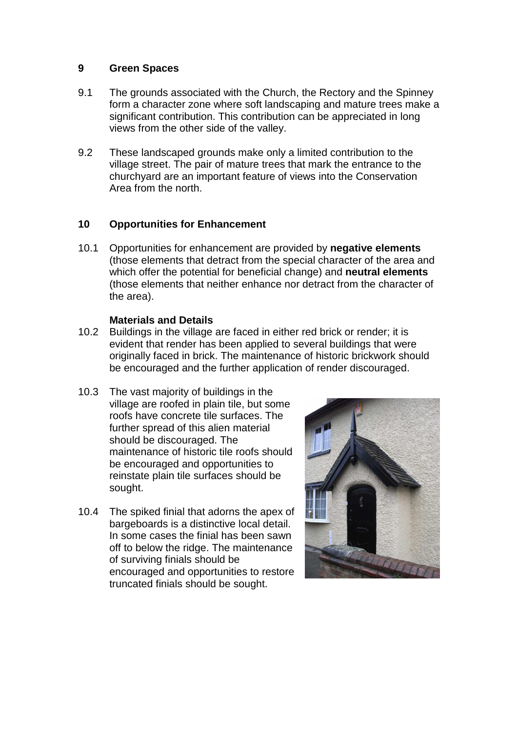#### **9 Green Spaces**

- 9.1 The grounds associated with the Church, the Rectory and the Spinney form a character zone where soft landscaping and mature trees make a significant contribution. This contribution can be appreciated in long views from the other side of the valley.
- 9.2 These landscaped grounds make only a limited contribution to the village street. The pair of mature trees that mark the entrance to the churchyard are an important feature of views into the Conservation Area from the north.

# **10 Opportunities for Enhancement**

10.1 Opportunities for enhancement are provided by **negative elements**  (those elements that detract from the special character of the area and which offer the potential for beneficial change) and **neutral elements**  (those elements that neither enhance nor detract from the character of the area).

#### **Materials and Details**

- 10.2 Buildings in the village are faced in either red brick or render; it is evident that render has been applied to several buildings that were originally faced in brick. The maintenance of historic brickwork should be encouraged and the further application of render discouraged.
- 10.3 The vast majority of buildings in the village are roofed in plain tile, but some roofs have concrete tile surfaces. The further spread of this alien material should be discouraged. The maintenance of historic tile roofs should be encouraged and opportunities to reinstate plain tile surfaces should be sought.
- 10.4 The spiked finial that adorns the apex of bargeboards is a distinctive local detail. In some cases the finial has been sawn off to below the ridge. The maintenance of surviving finials should be encouraged and opportunities to restore truncated finials should be sought.